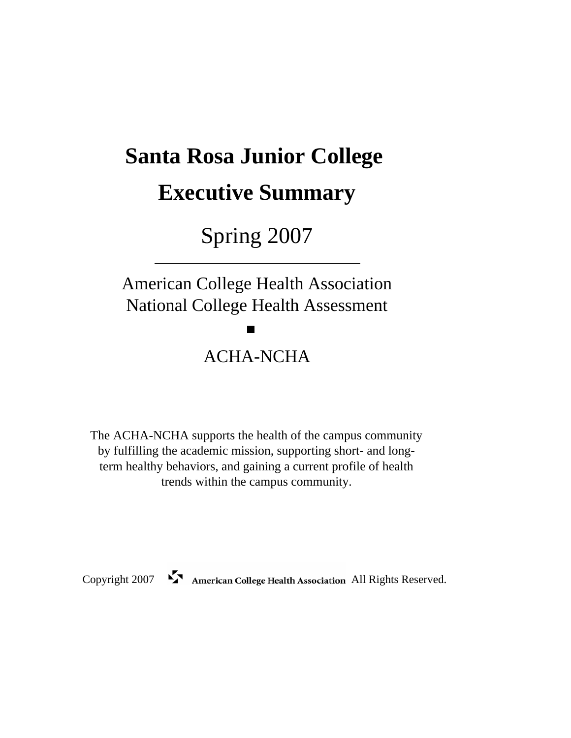# **Santa Rosa Junior College Executive Summary**

## Spring 2007

# American College Health Association National College Health Assessment ACHA-NCHA

The ACHA-NCHA supports the health of the campus community by fulfilling the academic mission, supporting short- and longterm healthy behaviors, and gaining a current profile of health trends within the campus community.

Copyright 2007 American College Health Association All Rights Reserved.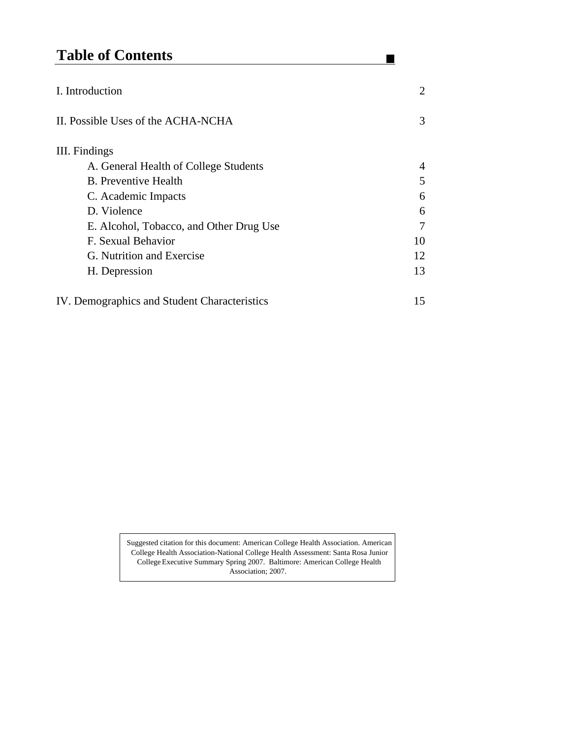## **Table of Contents**

| I. Introduction                              | 2  |
|----------------------------------------------|----|
| II. Possible Uses of the ACHA-NCHA           | 3  |
| III. Findings                                |    |
| A. General Health of College Students        | 4  |
| <b>B.</b> Preventive Health                  | 5  |
| C. Academic Impacts                          | 6  |
| D. Violence                                  | 6  |
| E. Alcohol, Tobacco, and Other Drug Use      | 7  |
| F. Sexual Behavior                           | 10 |
| G. Nutrition and Exercise                    | 12 |
| H. Depression                                | 13 |
| IV. Demographics and Student Characteristics | 15 |

 $\blacksquare$ 

Suggested citation for this document: American College Health Association. American College Health Association-National College Health Assessment: Santa Rosa Junior CollegeExecutive Summary Spring 2007. Baltimore: American College Health Association; 2007.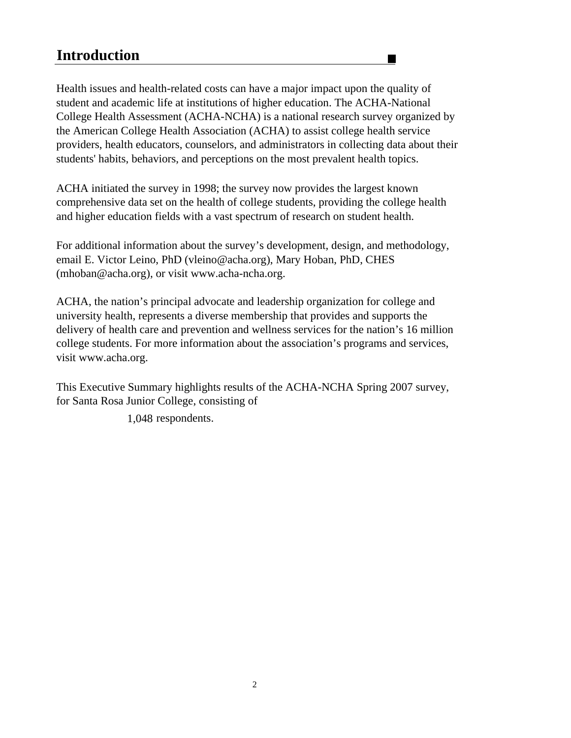### **Introduction**

Health issues and health-related costs can have a major impact upon the quality of student and academic life at institutions of higher education. The ACHA-National College Health Assessment (ACHA-NCHA) is a national research survey organized by the American College Health Association (ACHA) to assist college health service providers, health educators, counselors, and administrators in collecting data about their students' habits, behaviors, and perceptions on the most prevalent health topics.

ACHA initiated the survey in 1998; the survey now provides the largest known comprehensive data set on the health of college students, providing the college health and higher education fields with a vast spectrum of research on student health.

For additional information about the survey's development, design, and methodology, email E. Victor Leino, PhD (vleino@acha.org), Mary Hoban, PhD, CHES (mhoban@acha.org), or visit www.acha-ncha.org.

ACHA, the nation's principal advocate and leadership organization for college and university health, represents a diverse membership that provides and supports the delivery of health care and prevention and wellness services for the nation's 16 million college students. For more information about the association's programs and services, visit www.acha.org.

This Executive Summary highlights results of the ACHA-NCHA Spring 2007 survey, for Santa Rosa Junior College, consisting of

1,048 respondents.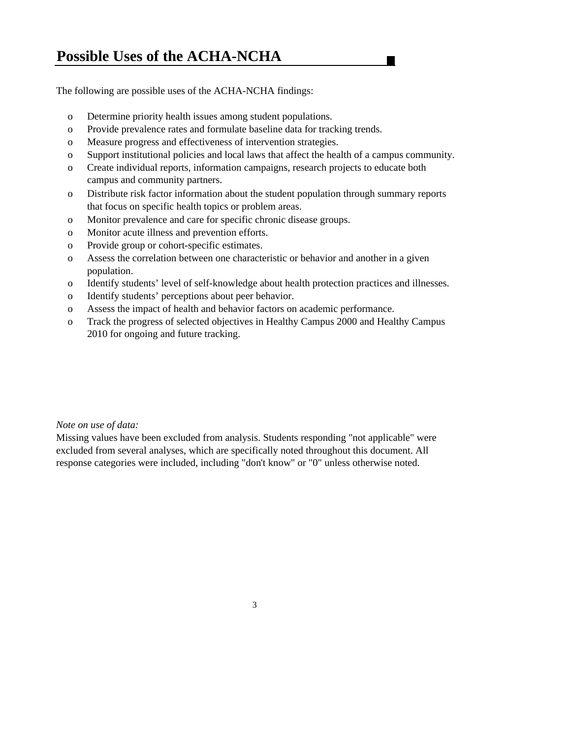### **Possible Uses of the ACHA-NCHA**

The following are possible uses of the ACHA-NCHA findings:

- o Determine priority health issues among student populations.
- o Provide prevalence rates and formulate baseline data for tracking trends.
- o Measure progress and effectiveness of intervention strategies.
- o Support institutional policies and local laws that affect the health of a campus community.

- o Create individual reports, information campaigns, research projects to educate both campus and community partners.
- o Distribute risk factor information about the student population through summary reports that focus on specific health topics or problem areas.
- o Monitor prevalence and care for specific chronic disease groups.
- o Monitor acute illness and prevention efforts.
- o Provide group or cohort-specific estimates.
- o Assess the correlation between one characteristic or behavior and another in a given population.
- o Identify students' level of self-knowledge about health protection practices and illnesses.
- o Identify students' perceptions about peer behavior.
- o Assess the impact of health and behavior factors on academic performance.
- o Track the progress of selected objectives in Healthy Campus 2000 and Healthy Campus 2010 for ongoing and future tracking.

#### *Note on use of data:*

Missing values have been excluded from analysis. Students responding "not applicable" were excluded from several analyses, which are specifically noted throughout this document. All response categories were included, including "don't know" or "0" unless otherwise noted.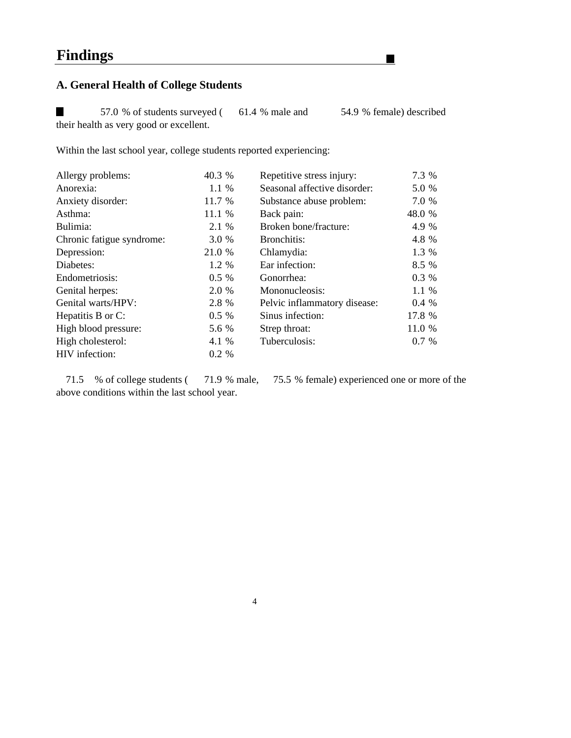### **A. General Health of College Students**

57.0 % of students surveyed ( 61.4 % male and 54.9 % female) described their health as very good or excellent.

Within the last school year, college students reported experiencing:

| Allergy problems:         | 40.3 %  | Repetitive stress injury:    | 7.3 %   |
|---------------------------|---------|------------------------------|---------|
| Anorexia:                 | 1.1 %   | Seasonal affective disorder: | 5.0 %   |
| Anxiety disorder:         | 11.7 %  | Substance abuse problem:     | 7.0 %   |
| Asthma:                   | 11.1 %  | Back pain:                   | 48.0 %  |
| Bulimia:                  | 2.1 %   | Broken bone/fracture:        | 4.9 %   |
| Chronic fatigue syndrome: | 3.0 %   | Bronchitis:                  | 4.8 %   |
| Depression:               | 21.0 %  | Chlamydia:                   | 1.3 %   |
| Diabetes:                 | $1.2\%$ | Ear infection:               | 8.5 %   |
| Endometriosis:            | $0.5\%$ | Gonorrhea:                   | 0.3 %   |
| Genital herpes:           | 2.0 %   | Mononucleosis:               | 1.1 %   |
| Genital warts/HPV:        | 2.8 %   | Pelvic inflammatory disease: | $0.4\%$ |
| Hepatitis B or C:         | $0.5\%$ | Sinus infection:             | 17.8 %  |
| High blood pressure:      | 5.6 %   | Strep throat:                | 11.0 %  |
| High cholesterol:         | 4.1 %   | Tuberculosis:                | 0.7 %   |
| HIV infection:            | 0.2 %   |                              |         |

71.5 % of college students ( 71.9 % male, 75.5 % female) experienced one or more of the above conditions within the last school year.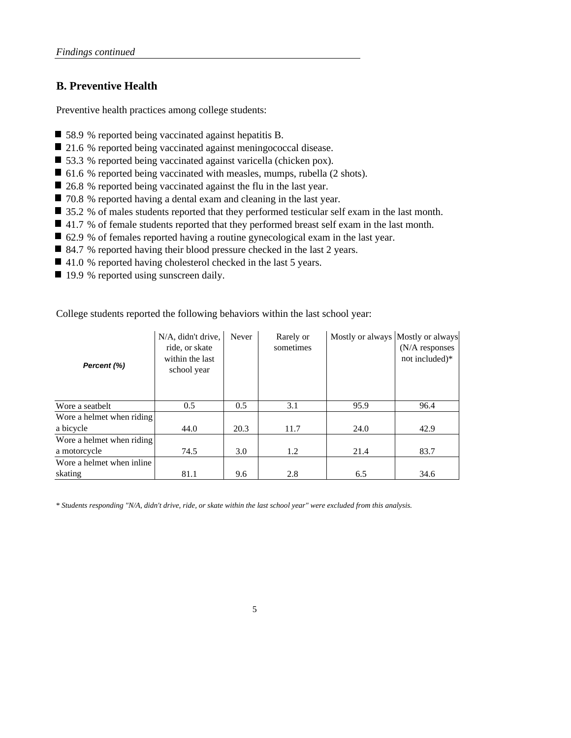#### **B. Preventive Health**

Preventive health practices among college students:

- 58.9 % reported being vaccinated against hepatitis B.
- 21.6 % reported being vaccinated against meningococcal disease.
- 53.3 % reported being vaccinated against varicella (chicken pox).
- 61.6 % reported being vaccinated with measles, mumps, rubella (2 shots).
- 26.8 % reported being vaccinated against the flu in the last year.
- 70.8 % reported having a dental exam and cleaning in the last year.
- 35.2 % of males students reported that they performed testicular self exam in the last month.
- 41.7 % of female students reported that they performed breast self exam in the last month.
- 62.9 % of females reported having a routine gynecological exam in the last year.
- 84.7 % reported having their blood pressure checked in the last 2 years.
- 41.0 % reported having cholesterol checked in the last 5 years.
- 19.9 % reported using sunscreen daily.

College students reported the following behaviors within the last school year:

| Percent (%)               | N/A, didn't drive,<br>ride, or skate<br>within the last<br>school year | Never | Rarely or<br>sometimes | Mostly or always Mostly or always | $(N/A)$ responses<br>not included)* |
|---------------------------|------------------------------------------------------------------------|-------|------------------------|-----------------------------------|-------------------------------------|
| Wore a seatbelt           | 0.5                                                                    | 0.5   | 3.1                    | 95.9                              | 96.4                                |
| Wore a helmet when riding |                                                                        |       |                        |                                   |                                     |
| a bicycle                 | 44.0                                                                   | 20.3  | 11.7                   | 24.0                              | 42.9                                |
| Wore a helmet when riding |                                                                        |       |                        |                                   |                                     |
| a motorcycle              | 74.5                                                                   | 3.0   | 1.2                    | 21.4                              | 83.7                                |
| Wore a helmet when inline |                                                                        |       |                        |                                   |                                     |
| skating                   | 81.1                                                                   | 9.6   | 2.8                    | 6.5                               | 34.6                                |

*\* Students responding "N/A, didn't drive, ride, or skate within the last school year" were excluded from this analysis.*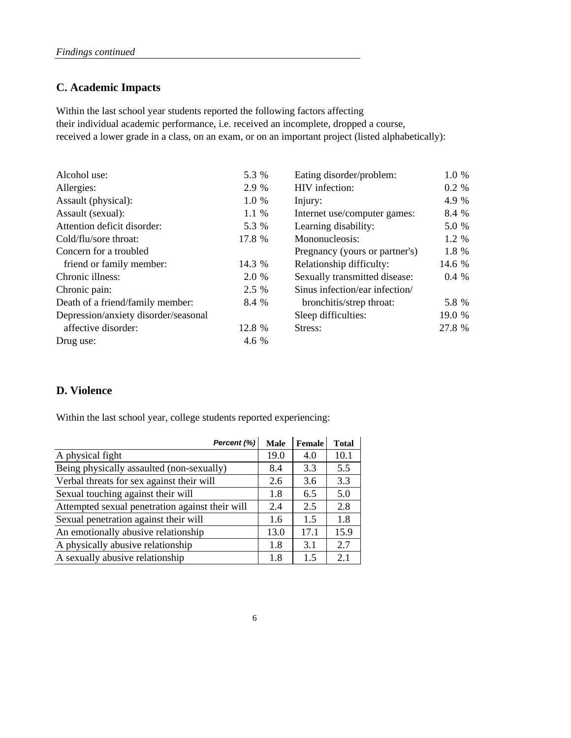#### **C. Academic Impacts**

their individual academic performance, i.e. received an incomplete, dropped a course, received a lower grade in a class, on an exam, or on an important project (listed alphabetically): Within the last school year students reported the following factors affecting

| Alcohol use:                         | 5.3 %  | Eating disorder/problem:       | 1.0 %  |
|--------------------------------------|--------|--------------------------------|--------|
| Allergies:                           | 2.9 %  | HIV infection:                 | 0.2 %  |
| Assault (physical):                  | 1.0 %  | Injury:                        | 4.9 %  |
| Assault (sexual):                    | 1.1 %  | Internet use/computer games:   | 8.4 %  |
| Attention deficit disorder:          | 5.3 %  | Learning disability:           | 5.0 %  |
| Cold/flu/sore throat:                | 17.8 % | Mononucleosis:                 | 1.2 %  |
| Concern for a troubled               |        | Pregnancy (yours or partner's) | 1.8 %  |
| friend or family member:             | 14.3 % | Relationship difficulty:       | 14.6 % |
| Chronic illness:                     | 2.0 %  | Sexually transmitted disease:  | 0.4 %  |
| Chronic pain:                        | 2.5 %  | Sinus infection/ear infection/ |        |
| Death of a friend/family member:     | 8.4 %  | bronchitis/strep throat:       | 5.8 %  |
| Depression/anxiety disorder/seasonal |        | Sleep difficulties:            | 19.0 % |
| affective disorder:                  | 12.8 % | Stress:                        | 27.8 % |
| Drug use:                            | 4.6 %  |                                |        |

#### **D. Violence**

Within the last school year, college students reported experiencing:

| Percent (%)                                     | <b>Male</b> | Female | <b>Total</b> |
|-------------------------------------------------|-------------|--------|--------------|
| A physical fight                                | 19.0        | 4.0    | 10.1         |
| Being physically assaulted (non-sexually)       | 8.4         | 3.3    | 5.5          |
| Verbal threats for sex against their will       | 2.6         | 3.6    | 3.3          |
| Sexual touching against their will              | 1.8         | 6.5    | 5.0          |
| Attempted sexual penetration against their will | 2.4         | 2.5    | 2.8          |
| Sexual penetration against their will           | 1.6         | 1.5    | 1.8          |
| An emotionally abusive relationship             | 13.0        | 17.1   | 15.9         |
| A physically abusive relationship               | 1.8         | 3.1    | 2.7          |
| A sexually abusive relationship                 | 1.8         | 1.5    | 2.1          |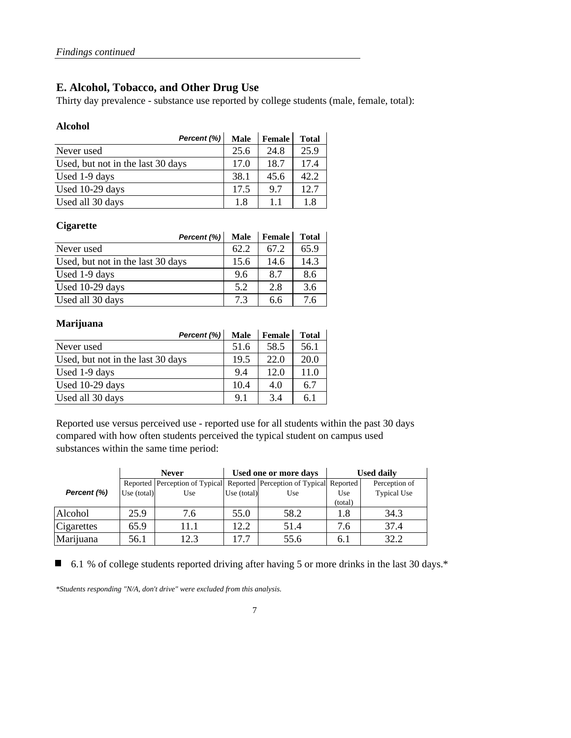#### **E. Alcohol, Tobacco, and Other Drug Use**

Thirty day prevalence - substance use reported by college students (male, female, total):

#### **Alcohol**

| Percent (%)                       | <b>Male</b> | <b>Female</b> | <b>Total</b> |
|-----------------------------------|-------------|---------------|--------------|
| Never used                        | 25.6        | 24.8          | 25.9         |
| Used, but not in the last 30 days | 17.0        | 18.7          | 17.4         |
| Used 1-9 days                     | 38.1        | 45.6          | 42.2         |
| Used 10-29 days                   | 17.5        | 9.7           | 12.7         |
| Used all 30 days                  | 1.8         | 11            | 1.8          |

#### **Cigarette**

| Percent (%)                       | <b>Male</b> | Female | <b>Total</b> |
|-----------------------------------|-------------|--------|--------------|
| Never used                        | 62.2        | 67.2   | 65.9         |
| Used, but not in the last 30 days | 15.6        | 14.6   | 14.3         |
| Used 1-9 days                     | 9.6         | 8.7    | 8.6          |
| Used 10-29 days                   | 5.2         | 2.8    | 3.6          |
| Used all 30 days                  | 7.3         | 6.6    | 7.6          |

#### **Marijuana**

| Percent (%)                       | <b>Male</b> | Female | <b>Total</b> |
|-----------------------------------|-------------|--------|--------------|
| Never used                        | 51.6        | 58.5   | 56.1         |
| Used, but not in the last 30 days | 19.5        | 22.0   | 20.0         |
| Used 1-9 days                     | 9.4         | 12.0   | 11.0         |
| Used 10-29 days                   | 10.4        | 4.0    | 6.7          |
| Used all 30 days                  | 9.1         | 34     | 6.1          |

Reported use versus perceived use - reported use for all students within the past 30 days compared with how often students perceived the typical student on campus used substances within the same time period:

|             |               | <b>Never</b>                                                                 |               | Used one or more days |         | <b>Used daily</b>  |
|-------------|---------------|------------------------------------------------------------------------------|---------------|-----------------------|---------|--------------------|
|             |               | Reported   Perception of Typical  Reported   Perception of Typical  Reported |               |                       |         | Perception of      |
| Percent (%) | Use $(total)$ | Use                                                                          | Use $(total)$ | Use                   | Use     | <b>Typical Use</b> |
|             |               |                                                                              |               |                       | (total) |                    |
| Alcohol     | 25.9          | 7.6                                                                          | 55.0          | 58.2                  | 1.8     | 34.3               |
| Cigarettes  | 65.9          | 11 1                                                                         | 12.2          | 51.4                  | 7.6     | 37.4               |
| Marijuana   | 56.1          | 12.3                                                                         | 17.7          | 55.6                  | 6.1     | 32.2               |

6.1 % of college students reported driving after having 5 or more drinks in the last 30 days.\*

*\*Students responding "N/A, don't drive" were excluded from this analysis.*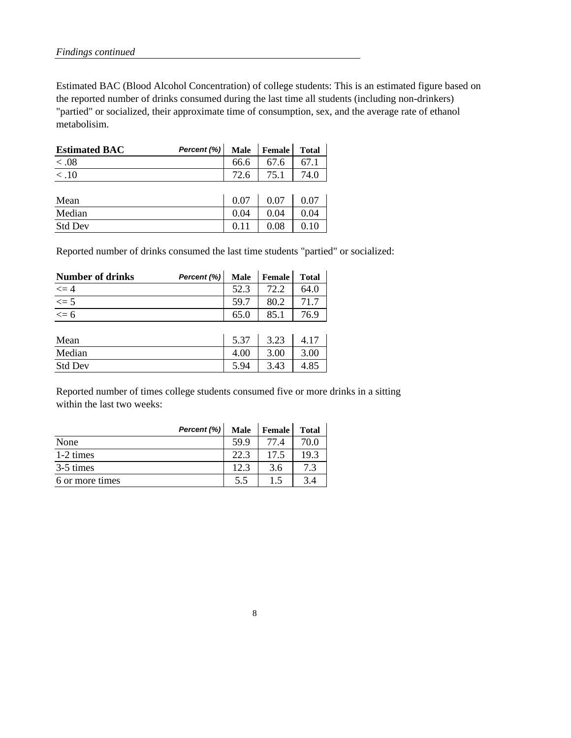Estimated BAC (Blood Alcohol Concentration) of college students: This is an estimated figure based on the reported number of drinks consumed during the last time all students (including non-drinkers) "partied" or socialized, their approximate time of consumption, sex, and the average rate of ethanol metabolisim.

| <b>Estimated BAC</b> | Percent $(\%)$ |      | Male Female | <b>Total</b> |
|----------------------|----------------|------|-------------|--------------|
| < 0.08               |                | 66.6 | 67.6        | 67.1         |
| < .10                |                | 72.6 | 75.1        | 74.0         |
|                      |                |      |             |              |
| Mean                 |                | 0.07 | 0.07        | 0.07         |
| Median               |                | 0.04 | 0.04        | 0.04         |

Std Dev 0.11 0.08 0.10

Reported number of drinks consumed the last time students "partied" or socialized:

| <b>Number of drinks</b>             | Percent (%) | <b>Male</b> | <b>Female</b> | <b>Total</b> |
|-------------------------------------|-------------|-------------|---------------|--------------|
|                                     |             | 52.3        | 72.2          | 64.0         |
| $\frac{\leq 4}{\leq 5}$<br>$\leq 6$ |             | 59.7        | 80.2          | 71.7         |
|                                     |             | 65.0        | 85.1          | 76.9         |
|                                     |             |             |               |              |
| Mean                                |             | 5.37        | 3.23          | 4.17         |
| Median                              |             | 4.00        | 3.00          | 3.00         |
| <b>Std Dev</b>                      |             | 5.94        | 3.43          | 4.85         |

Reported number of times college students consumed five or more drinks in a sitting within the last two weeks:

|                 | Percent (%) | <b>Male</b> | Female | <b>Total</b> |
|-----------------|-------------|-------------|--------|--------------|
| None            |             | 59.9        | 77.4   | 70.0         |
| 1-2 times       |             | 22.3        | 175    | 19.3         |
| 3-5 times       |             | 12.3        | 3.6    | 7.3          |
| 6 or more times |             | 5.5         | 1.5    | 3.4          |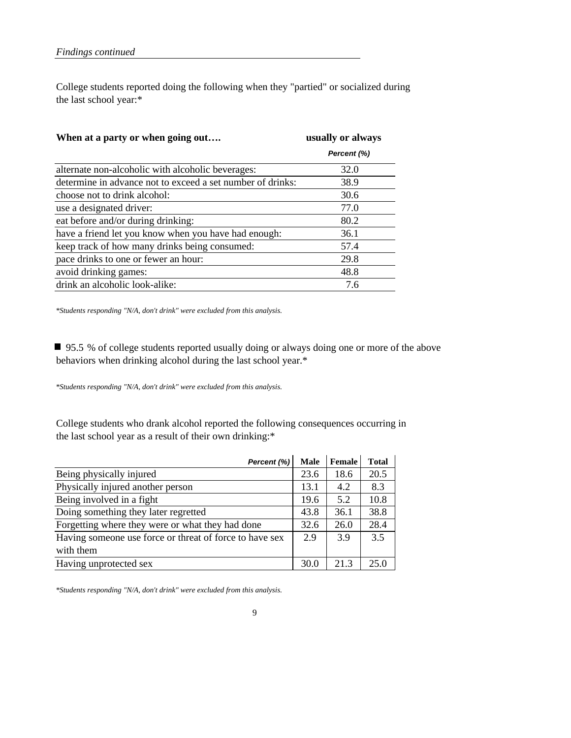College students reported doing the following when they "partied" or socialized during the last school year:\*

| When at a party or when going out                          | usually or always |
|------------------------------------------------------------|-------------------|
|                                                            | Percent (%)       |
| alternate non-alcoholic with alcoholic beverages:          | 32.0              |
| determine in advance not to exceed a set number of drinks: | 38.9              |
| choose not to drink alcohol:                               | 30.6              |
| use a designated driver:                                   | 77.0              |
| eat before and/or during drinking:                         | 80.2              |
| have a friend let you know when you have had enough:       | 36.1              |
| keep track of how many drinks being consumed:              | 57.4              |
| pace drinks to one or fewer an hour:                       | 29.8              |
| avoid drinking games:                                      | 48.8              |
| drink an alcoholic look-alike:                             | 7.6               |

*\*Students responding "N/A, don't drink" were excluded from this analysis.*

95.5 % of college students reported usually doing or always doing one or more of the above behaviors when drinking alcohol during the last school year.\*

*\*Students responding "N/A, don't drink" were excluded from this analysis.*

College students who drank alcohol reported the following consequences occurring in the last school year as a result of their own drinking:\*

| Percent (%)                                             | <b>Male</b> | Female | <b>Total</b> |
|---------------------------------------------------------|-------------|--------|--------------|
| Being physically injured                                | 23.6        | 18.6   | 20.5         |
| Physically injured another person                       | 13.1        | 4.2    | 8.3          |
| Being involved in a fight                               | 19.6        | 5.2    | 10.8         |
| Doing something they later regretted                    | 43.8        | 36.1   | 38.8         |
| Forgetting where they were or what they had done        | 32.6        | 26.0   | 28.4         |
| Having someone use force or threat of force to have sex | 2.9         | 3.9    | 3.5          |
| with them                                               |             |        |              |
| Having unprotected sex                                  | 30.0        | 21.3   | 25.0         |

*\*Students responding "N/A, don't drink" were excluded from this analysis.*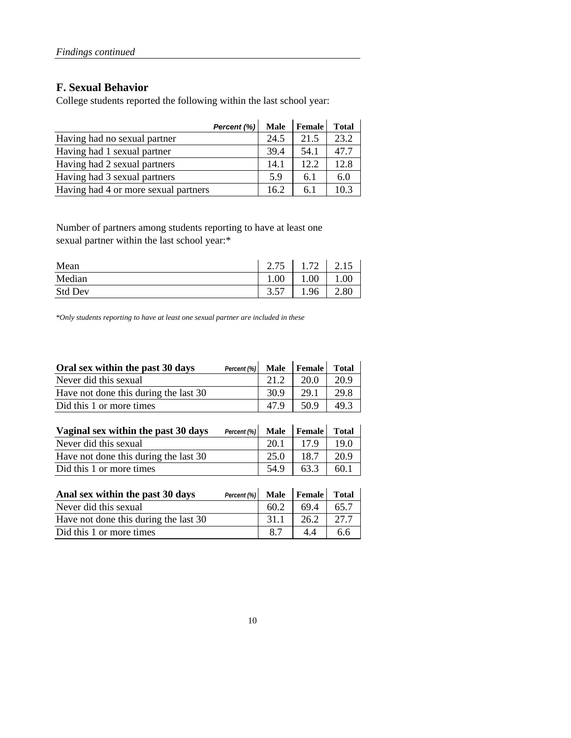#### **F. Sexual Behavior**

College students reported the following within the last school year:

| Percent (%)                          | <b>Male</b> | Female | <b>Total</b> |
|--------------------------------------|-------------|--------|--------------|
| Having had no sexual partner         | 24.5        | 21.5   | 23.2         |
| Having had 1 sexual partner          | 39.4        | 54.1   | 47.7         |
| Having had 2 sexual partners         | 14.1        | 12.2.  | 12.8         |
| Having had 3 sexual partners         | 5.9         | 6.1    | 6.0          |
| Having had 4 or more sexual partners | 16.2        | 6.1    | 103          |

Number of partners among students reporting to have at least one sexual partner within the last school year:\*

| Mean           | $\gamma$<br>75<br>$\angle$ . I J | 1.72 |      |
|----------------|----------------------------------|------|------|
| Median         | 1.00                             | 00.1 | 00.1 |
| <b>Std Dev</b> | 57<br>3.57                       | .96  | 2.80 |

*\*Only students reporting to have at least one sexual partner are included in these*

| Oral sex within the past 30 days      | Percent (%) | Male        | Female | <b>Total</b> |
|---------------------------------------|-------------|-------------|--------|--------------|
| Never did this sexual                 |             | 21.2        | 20.0   | 20.9         |
| Have not done this during the last 30 |             | 30.9        | 29.1   | 29.8         |
| Did this 1 or more times              |             | 47.9        | 50.9   | 49.3         |
|                                       |             |             |        |              |
| Vaginal sex within the past 30 days   | Percent (%) | <b>Male</b> | Female | <b>Total</b> |
| Never did this sexual                 |             | 20.1        | 17.9   | 19.0         |
| Have not done this during the last 30 |             | 25.0        | 18.7   | 20.9         |
| Did this 1 or more times              |             | 54.9        | 63.3   | 60.1         |
|                                       |             |             |        |              |
| Anal sex within the past 30 days      | Percent (%) | <b>Male</b> | Female | <b>Total</b> |
| Never did this sexual                 |             | 60.2        | 69.4   | 65.7         |
| Have not done this during the last 30 |             | 31.1        | 26.2   | 27.7         |

Did this 1 or more times  $\begin{array}{|c|c|c|c|c|c|} \hline 8.7 & 4.4 & 6.6 \hline \end{array}$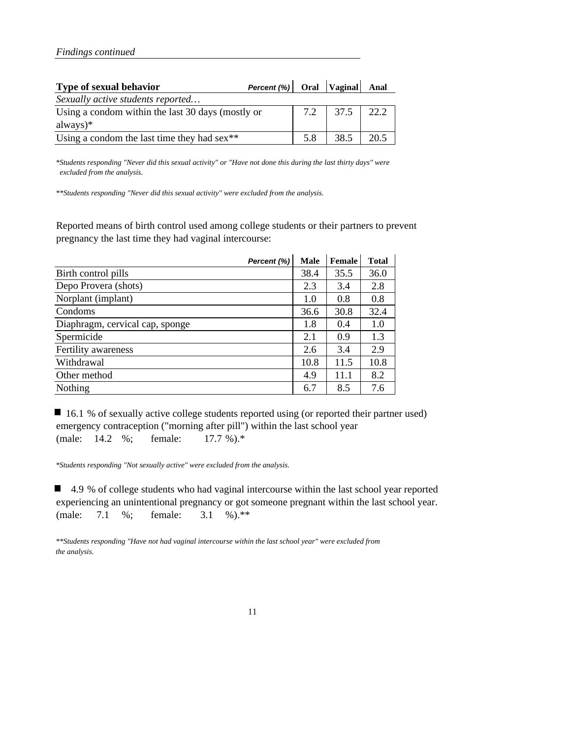| Type of sexual behavior                           | Percent $(\%)$ Oral Vaginal Anal |     |               |       |
|---------------------------------------------------|----------------------------------|-----|---------------|-------|
| Sexually active students reported                 |                                  |     |               |       |
| Using a condom within the last 30 days (mostly or |                                  |     | 7.2 37.5 22.2 |       |
| always $)$ *                                      |                                  |     |               |       |
| Using a condom the last time they had $sex$ **    |                                  | 5.8 | 38.5          | 1.205 |

*\*Students responding "Never did this sexual activity" or "Have not done this during the last thirty days" were excluded from the analysis.*

*\*\*Students responding "Never did this sexual activity" were excluded from the analysis.*

Reported means of birth control used among college students or their partners to prevent pregnancy the last time they had vaginal intercourse:

| Percent (%)                     | <b>Male</b> | Female | <b>Total</b> |
|---------------------------------|-------------|--------|--------------|
| Birth control pills             | 38.4        | 35.5   | 36.0         |
| Depo Provera (shots)            | 2.3         | 3.4    | 2.8          |
| Norplant (implant)              | 1.0         | 0.8    | 0.8          |
| Condoms                         | 36.6        | 30.8   | 32.4         |
| Diaphragm, cervical cap, sponge | 1.8         | 0.4    | 1.0          |
| Spermicide                      | 2.1         | 0.9    | 1.3          |
| Fertility awareness             | 2.6         | 3.4    | 2.9          |
| Withdrawal                      | 10.8        | 11.5   | 10.8         |
| Other method                    | 4.9         | 11.1   | 8.2          |
| Nothing                         | 6.7         | 8.5    | 7.6          |

■ 16.1 % of sexually active college students reported using (or reported their partner used) emergency contraception ("morning after pill") within the last school year (male: 14.2 %; female: 17.7 %).\*

*\*Students responding "Not sexually active" were excluded from the analysis.*

■ 4.9 % of college students who had vaginal intercourse within the last school year reported experiencing an unintentional pregnancy or got someone pregnant within the last school year. (male: 7.1 %; female: 3.1 %).\*\*

*\*\*Students responding "Have not had vaginal intercourse within the last school year" were excluded from the analysis.*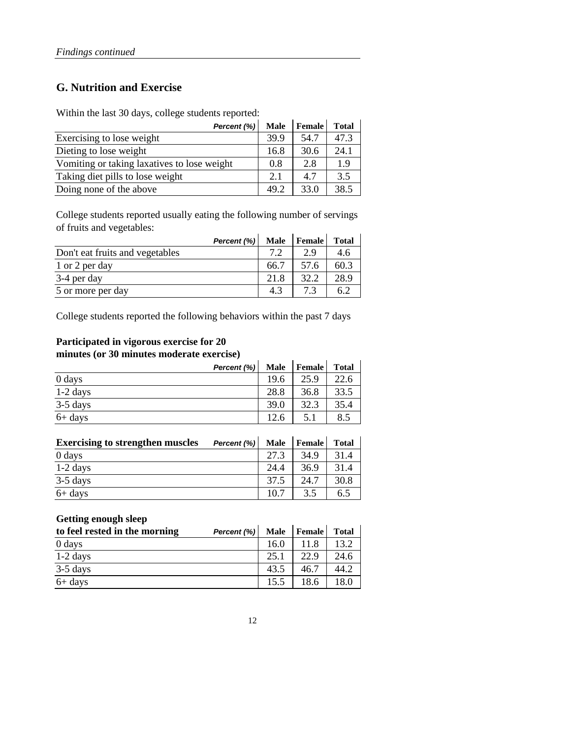#### **G. Nutrition and Exercise**

Within the last 30 days, college students reported:

| Percent (%)                                 | <b>Male</b> | <b>Female</b> | <b>Total</b> |
|---------------------------------------------|-------------|---------------|--------------|
| Exercising to lose weight                   | 39.9        | 54.7          | 47.3         |
| Dieting to lose weight                      | 16.8        | 30.6          | 24.1         |
| Vomiting or taking laxatives to lose weight | 0.8         | 2.8           | 1.9          |
| Taking diet pills to lose weight            | 2.1         | 4.7           | 3.5          |
| Doing none of the above                     | 49.2        | 33.0          | 38.5         |

College students reported usually eating the following number of servings of fruits and vegetables:

| Percent (%)                     | <b>Male</b> | <b>Female</b> | Total |
|---------------------------------|-------------|---------------|-------|
| Don't eat fruits and vegetables | 79          | 29            | 4.6   |
| 1 or 2 per day                  | 66.7        | 57.6          | 60.3  |
| 3-4 per day                     | 21.8        | 32.2          | 28.9  |
| 5 or more per day               | 4.3         | 73            | 6.2   |

College students reported the following behaviors within the past 7 days

#### **Participated in vigorous exercise for 20 minutes (or 30 minutes moderate exercise)**

| Percent (%) | <b>Male</b> | <b>Female</b> | <b>Total</b> |
|-------------|-------------|---------------|--------------|
| $0$ days    | 19.6        | 25.9          | 22.6         |
| $1-2$ days  | 28.8        | 36.8          | 33.5         |
| $3-5$ days  | 39.0        | 32.3          | 35.4         |
| $6+$ days   | 12.6        | 5.1           | 8.5          |

| <b>Exercising to strengthen muscles</b> | Percent (%) | <b>Male</b> | Female | <b>Total</b> |
|-----------------------------------------|-------------|-------------|--------|--------------|
| 0 days                                  |             | 27.3        | 34.9   | 31.4         |
| $1-2$ days                              |             | 24.4        | 36.9   | 31.4         |
| $3-5$ days                              |             | 37.5        | 24.7   | 30.8         |
| $6+$ days                               |             | 10.7        | 3.5    | 6.5          |

#### **Getting enough sleep**

| to feel rested in the morning | Percent (%) | <b>Male</b> | <b>Female</b> | <b>Total</b> |
|-------------------------------|-------------|-------------|---------------|--------------|
| 0 days                        |             | 16.0        |               | 13.2         |
| $1-2$ days                    |             | 25.1        | 22.9          | 24.6         |
| $3-5$ days                    |             | 43.5        | 46.7          | 44.2         |
| $6+$ days                     |             | 15.5        | 18.6          | 18.0         |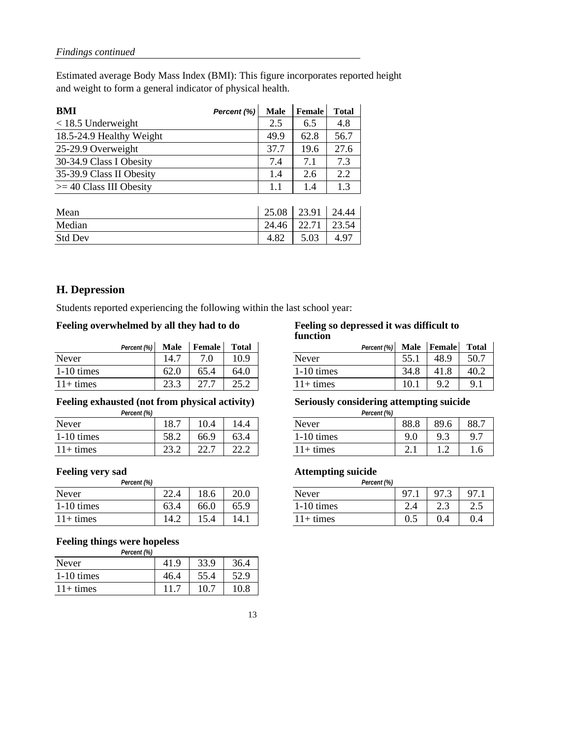Estimated average Body Mass Index (BMI): This figure incorporates reported height and weight to form a general indicator of physical health.

| BMI                       | Percent (%) | <b>Male</b> | Female | <b>Total</b> |
|---------------------------|-------------|-------------|--------|--------------|
| $<$ 18.5 Underweight      |             | 2.5         | 6.5    | 4.8          |
| 18.5-24.9 Healthy Weight  |             | 49.9        | 62.8   | 56.7         |
| 25-29.9 Overweight        |             | 37.7        | 19.6   | 27.6         |
| 30-34.9 Class I Obesity   |             | 7.4         | 7.1    | 7.3          |
| 35-39.9 Class II Obesity  |             | 1.4         | 2.6    | 2.2          |
| $>=$ 40 Class III Obesity |             | 1.1         | 1.4    | 1.3          |
|                           |             |             |        |              |
| Mean                      |             | 25.08       | 23.91  | 24.44        |
| Median                    |             | 24.46       | 22.71  | 23.54        |
| <b>Std Dev</b>            |             | 4.82        | 5.03   | 4.97         |

#### **H. Depression**

Students reported experiencing the following within the last school year:

#### **Feeling overwhelmed by all they had to do Feeling so depressed it was difficult to**

|              | <b>Male</b><br>Percent (%) | Female        | <b>Total</b> | Percent (%) Male Female |      |      | Total          |
|--------------|----------------------------|---------------|--------------|-------------------------|------|------|----------------|
| Never        | 14.7                       |               | 10.9         | Never                   | 55.1 | 48.9 | 50.7           |
| $1-10$ times | 62.0                       | 65.4          | 64.0         | $1-10$ times            | 34.8 | 41.8 | 40.2           |
| $11+$ times  | 23.3                       | $\sim$ $\sim$ |              | $11+$ times             | 10.1 |      | Q <sub>1</sub> |

#### **Feeling exhausted (not from physical activity) Seriously considering attempting suicide**

| Percent (%)  |                 |             |                  | Percent (%) |          |        |                |
|--------------|-----------------|-------------|------------------|-------------|----------|--------|----------------|
| Never        | 18.7            | 10.4        | 14.4             | Never       | 88.8     | 89.6   | 88.7           |
| $1-10$ times | 58.2            | 66.9        | 63.4             | 1-10 times  | a<br>7.U | ر .    | Q <sub>7</sub> |
| $11+$ times  | $\cap$<br>ے ۔ ب | -<br>$\cap$ | $\Omega$<br>44.L | $+$ times   | <u>.</u> | ◠<br>. | 1.6            |

| <b>Percent</b> (%) |                |              |      | Percent (%) |               |                      |                            |
|--------------------|----------------|--------------|------|-------------|---------------|----------------------|----------------------------|
| Never              | $\cap$<br>44.7 | ے ہו<br>10.0 | 20.0 | Never       | $\Omega$<br>. | 07<br>س              | 97<br>.                    |
| $1-10$ times       | 63.4           | 66.0         | 65.9 | 1-10 times  | ∸<br>2.−      | $\sim$<br>⌒<br>ل و ک | $\sim$ $\epsilon$<br>ر . ب |
| $11+$ times        | 14.2           |              | 14.1 | l + times   | U.J           | v.4                  | 0.4                        |

#### **Feeling things were hopeless**

| Percent (%)  |      |      |      |
|--------------|------|------|------|
| Never        | 41.9 | 33.9 | 36.4 |
| $1-10$ times | 46.4 | 55.4 | 52.9 |
| $11+$ times  |      | 10.1 | 10.8 |

## **function**

| <b>Percent (%)</b> | Male | <b>Female</b> | <b>Total</b> | Percent (%)  | Male | Female | <b>Total</b> |
|--------------------|------|---------------|--------------|--------------|------|--------|--------------|
|                    | 14.7 |               | 10.9         | Never        |      | 48.9   | 50.7         |
|                    | 62.0 | 65.4          | 64.0         | $1-10$ times | 34.8 | 41     | 40.2         |
|                    | 23.3 |               | 25.2         | $11+$ times  | 10.1 |        | $\mathbf Q$  |

| <b>Percent</b> (%) |      |      |                 |
|--------------------|------|------|-----------------|
| Never              | 88.8 | 89.6 |                 |
| $1-10$ times       | 9.0  | 9.3  |                 |
| $11+$ times        |      |      | .6 <sub>1</sub> |

### **Feeling very sad Attempting suicide**

| <b>Percent</b> (%) |     |      |  |
|--------------------|-----|------|--|
| Never              | 97. | 97.3 |  |
| $1-10$ times       |     | 2.3  |  |
| $11+$ times        | 0.5 |      |  |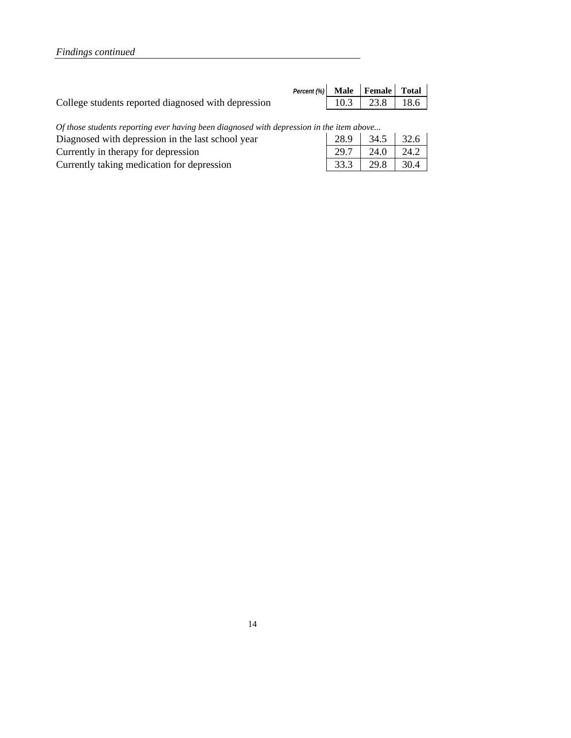|                                                     | Percent $(\%)$ Male Female Total |                  |  |
|-----------------------------------------------------|----------------------------------|------------------|--|
| College students reported diagnosed with depression |                                  | $10.3$ 23.8 18.6 |  |
|                                                     |                                  |                  |  |

*Of those students reporting ever having been diagnosed with depression in the item above...* 

| Diagnosed with depression in the last school year | 28.9 34.5 32.6       |  |
|---------------------------------------------------|----------------------|--|
| Currently in the rapy for depression              | $29.7$   24.0   24.2 |  |
| Currently taking medication for depression        | $33.3$   29.8   30.4 |  |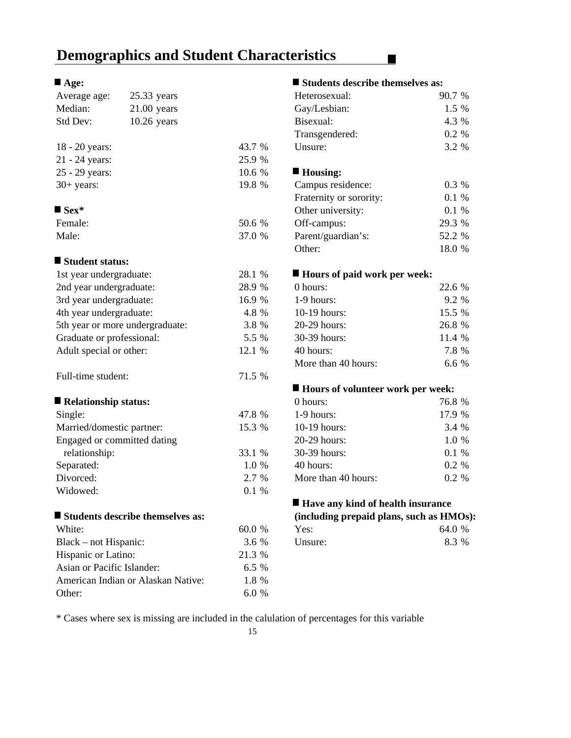### **Demographics and Student Characteristics**

| Average age:                | 25.33 years                      |        | Heterosexual:                            | 90.7 % |
|-----------------------------|----------------------------------|--------|------------------------------------------|--------|
| Median:                     | $21.00$ years                    |        | Gay/Lesbian:                             | 1.5 %  |
| Std Dev:                    | $10.26$ years                    |        | Bisexual:                                | 4.3 %  |
|                             |                                  |        | Transgendered:                           | 0.2 %  |
| 18 - 20 years:              |                                  | 43.7 % | Unsure:                                  | 3.2 %  |
| 21 - 24 years:              |                                  | 25.9 % |                                          |        |
| 25 - 29 years:              |                                  | 10.6 % | ■ Housing:                               |        |
| $30+$ years:                |                                  | 19.8 % | Campus residence:                        | 0.3 %  |
|                             |                                  |        | Fraternity or sorority:                  | 0.1 %  |
| $\blacksquare$ Sex*         |                                  |        | Other university:                        | 0.1 %  |
| Female:                     |                                  | 50.6 % | Off-campus:                              | 29.3 % |
| Male:                       |                                  | 37.0 % | Parent/guardian's:                       | 52.2 % |
|                             |                                  |        | Other:                                   | 18.0 % |
| Student status:             |                                  |        |                                          |        |
| 1st year undergraduate:     |                                  | 28.1 % | ■ Hours of paid work per week:           |        |
| 2nd year undergraduate:     |                                  | 28.9 % | 0 hours:                                 | 22.6 % |
| 3rd year undergraduate:     |                                  | 16.9 % | 1-9 hours:                               | 9.2 %  |
| 4th year undergraduate:     |                                  | 4.8 %  | 10-19 hours:                             | 15.5 % |
|                             | 5th year or more undergraduate:  | 3.8 %  | 20-29 hours:                             | 26.8 % |
| Graduate or professional:   |                                  | 5.5 %  | 30-39 hours:                             | 11.4 % |
| Adult special or other:     |                                  | 12.1 % | 40 hours:                                | 7.8 %  |
|                             |                                  |        | More than 40 hours:                      | 6.6%   |
| Full-time student:          |                                  | 71.5 % |                                          |        |
|                             |                                  |        | ■ Hours of volunteer work per week:      |        |
| Relationship status:        |                                  |        | 0 hours:                                 | 76.8 % |
| Single:                     |                                  | 47.8 % | $1-9$ hours:                             | 17.9 % |
| Married/domestic partner:   |                                  | 15.3 % | 10-19 hours:                             | 3.4 %  |
| Engaged or committed dating |                                  |        | 20-29 hours:                             | 1.0 %  |
| relationship:               |                                  | 33.1 % | 30-39 hours:                             | 0.1 %  |
| Separated:                  |                                  | 1.0 %  | 40 hours:                                | 0.2 %  |
| Divorced:                   |                                  | 2.7 %  | More than 40 hours:                      | 0.2 %  |
| Widowed:                    |                                  | 0.1 %  |                                          |        |
|                             |                                  |        | ■ Have any kind of health insurance      |        |
|                             | Students describe themselves as: |        | (including prepaid plans, such as HMOs): |        |
| White:                      |                                  | 60.0 % | Yes:                                     | 64.0 % |
| Black – not Hispanic:       |                                  | 3.6 %  | Unsure:                                  | 8.3 %  |
| Hispanic or Latino:         |                                  | 21.3 % |                                          |        |
| Asian or Pacific Islander:  |                                  | 6.5 %  |                                          |        |

American Indian or Alaskan Native: 1.8 % Other: 6.0 %

#### ■ Age: ■ Students describe themselves as:

 $\blacksquare$ 

| Heterosexual:           | 90.7 %  |
|-------------------------|---------|
| Gay/Lesbian:            | 1.5 %   |
| Bisexual:               | 4.3 %   |
| Transgendered:          | 0.2 %   |
| Unsure:                 | 3.2 %   |
| ■ Housing:              |         |
| Campus residence:       | 0.3 %   |
| Fraternity or sorority: | $0.1\%$ |
| Other university:       | $0.1\%$ |
| Off-campus:             | 29.3 %  |
| Parent/guardian's:      | 52.2 %  |
| Other:                  | 18.0 %  |

### ■ **Hours of paid work per week:**

| $0$ hours:          | 22.6 %  |
|---------------------|---------|
| $1-9$ hours:        | $9.2\%$ |
| 10-19 hours:        | 15.5 %  |
| $20-29$ hours:      | 26.8 %  |
| 30-39 hours:        | 11.4 %  |
| 40 hours:           | 7.8 %   |
| More than 40 hours: | 66%     |

#### **Hours of volunteer work per week:**

| 0 hours:            | 76.8 %   |
|---------------------|----------|
| $1-9$ hours:        | 17.9 %   |
| 10-19 hours:        | 3.4 %    |
| $20-29$ hours:      | $1.0\%$  |
| 30-39 hours:        | $0.1 \%$ |
| 40 hours:           | $0.2 \%$ |
| More than 40 hours: | 0.2 %    |

### **Have any kind of health insurance**

|  | (including prepaid plans, such as HMOs): |
|--|------------------------------------------|
|--|------------------------------------------|

| Yes:    | 64.0 % |  |
|---------|--------|--|
| Unsure: | 8.3 %  |  |

\* Cases where sex is missing are included in the calulation of percentages for this variable